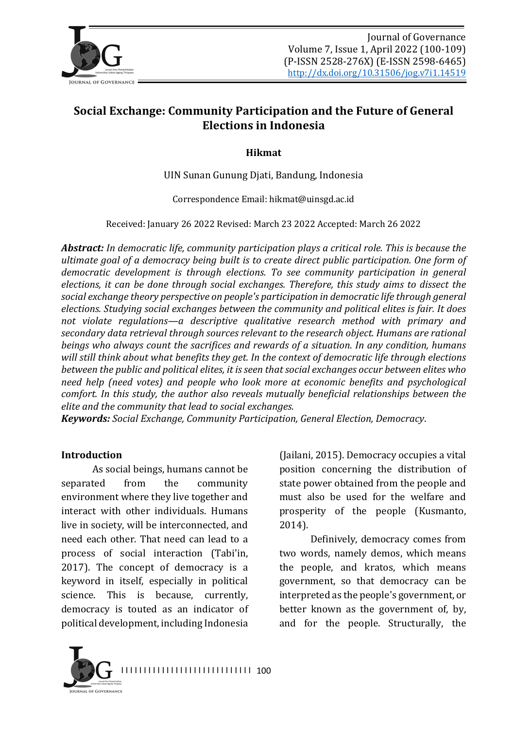

# **Social Exchange: Community Participation and the Future of General Elections in Indonesia**

**Hikmat**

UIN Sunan Gunung Djati, Bandung, Indonesia

Correspondence Email: hikmat@uinsgd.ac.id

Received: January 26 2022 Revised: March 23 2022 Accepted: March 26 2022

Abstract: In democratic life, community participation plays a critical role. This is because the *ultimate goal of a democracy being built is to create direct public participation. One form of democratic development is through elections. To see community participation in general* elections, it can be done through social exchanges. Therefore, this study aims to dissect the social exchange theory perspective on people's participation in democratic life through general elections. Studying social exchanges between the community and political elites is fair. It does not violate regulations—a descriptive qualitative research method with primary and secondary data retrieval through sources relevant to the research object. Humans are rational *beings* who always count the sacrifices and rewards of a situation. In any condition, humans will still think about what benefits they get. In the context of democratic life through elections *between the public and political elites, it is seen that social exchanges occur between elites who need help (need votes) and people who look more at economic benefits and psychological comfort.* In this study, the author also reveals mutually beneficial relationships between the *elite and the community that lead to social exchanges.* 

*Keywords: Social Exchange, Community Participation, General Election, Democracy.* 

#### **Introduction**

As social beings, humans cannot be separated from the community environment where they live together and interact with other individuals. Humans live in society, will be interconnected, and need each other. That need can lead to a process of social interaction (Tabi'in, 2017). The concept of democracy is a keyword in itself, especially in political science. This is because, currently, democracy is touted as an indicator of political development, including Indonesia (Jailani, 2015). Democracy occupies a vital position concerning the distribution of state power obtained from the people and must also be used for the welfare and prosperity of the people (Kusmanto, 2014).

Definively, democracy comes from two words, namely demos, which means the people, and kratos, which means government, so that democracy can be interpreted as the people's government, or better known as the government of, by, and for the people. Structurally, the

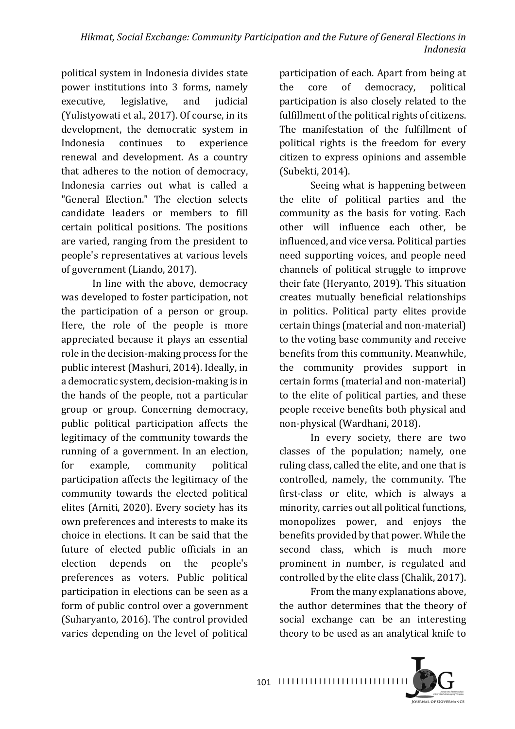political system in Indonesia divides state power institutions into 3 forms, namely executive, legislative, and judicial (Yulistyowati et al., 2017). Of course, in its development, the democratic system in Indonesia continues to experience renewal and development. As a country that adheres to the notion of democracy, Indonesia carries out what is called a "General Election." The election selects candidate leaders or members to fill certain political positions. The positions are varied, ranging from the president to people's representatives at various levels of government (Liando, 2017).

In line with the above, democracy was developed to foster participation, not the participation of a person or group. Here, the role of the people is more appreciated because it plays an essential role in the decision-making process for the public interest (Mashuri, 2014). Ideally, in a democratic system, decision-making is in the hands of the people, not a particular group or group. Concerning democracy, public political participation affects the legitimacy of the community towards the running of a government. In an election, for example, community political participation affects the legitimacy of the community towards the elected political elites (Arniti, 2020). Every society has its own preferences and interests to make its choice in elections. It can be said that the future of elected public officials in an election depends on the people's preferences as voters. Public political participation in elections can be seen as a form of public control over a government (Suharyanto, 2016). The control provided varies depending on the level of political

participation of each. Apart from being at the core of democracy, political participation is also closely related to the fulfillment of the political rights of citizens. The manifestation of the fulfillment of political rights is the freedom for every citizen to express opinions and assemble (Subekti, 2014).

Seeing what is happening between the elite of political parties and the community as the basis for voting. Each other will influence each other, be influenced, and vice versa. Political parties need supporting voices, and people need channels of political struggle to improve their fate (Heryanto, 2019). This situation creates mutually beneficial relationships in politics. Political party elites provide certain things (material and non-material) to the voting base community and receive benefits from this community. Meanwhile, the community provides support in certain forms (material and non-material) to the elite of political parties, and these people receive benefits both physical and non-physical (Wardhani, 2018).

In every society, there are two classes of the population; namely, one ruling class, called the elite, and one that is controlled, namely, the community. The first-class or elite, which is always a minority, carries out all political functions, monopolizes power, and enjoys the benefits provided by that power. While the second class, which is much more prominent in number, is regulated and controlled by the elite class (Chalik, 2017).

From the many explanations above, the author determines that the theory of social exchange can be an interesting theory to be used as an analytical knife to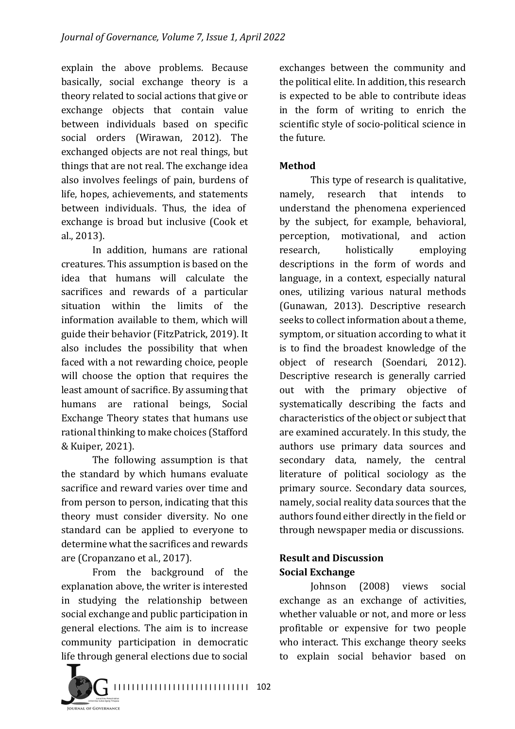explain the above problems. Because basically, social exchange theory is a theory related to social actions that give or exchange objects that contain value between individuals based on specific social orders (Wirawan, 2012). The exchanged objects are not real things, but things that are not real. The exchange idea also involves feelings of pain, burdens of life, hopes, achievements, and statements between individuals. Thus, the idea of exchange is broad but inclusive (Cook et al., 2013).

In addition, humans are rational creatures. This assumption is based on the idea that humans will calculate the sacrifices and rewards of a particular situation within the limits of the information available to them, which will guide their behavior (FitzPatrick, 2019). It also includes the possibility that when faced with a not rewarding choice, people will choose the option that requires the least amount of sacrifice. By assuming that humans are rational beings, Social Exchange Theory states that humans use rational thinking to make choices (Stafford & Kuiper, 2021).

The following assumption is that the standard by which humans evaluate sacrifice and reward varies over time and from person to person, indicating that this theory must consider diversity. No one standard can be applied to everyone to determine what the sacrifices and rewards are (Cropanzano et al., 2017).

From the background of the explanation above, the writer is interested in studying the relationship between social exchange and public participation in general elections. The aim is to increase community participation in democratic life through general elections due to social

**DURNAL OF GOVERNANC** 

exchanges between the community and the political elite. In addition, this research is expected to be able to contribute ideas in the form of writing to enrich the scientific style of socio-political science in the future.

## **Method**

This type of research is qualitative, namely, research that intends to understand the phenomena experienced by the subject, for example, behavioral, perception, motivational, and action research, holistically employing descriptions in the form of words and language, in a context, especially natural ones, utilizing various natural methods (Gunawan, 2013). Descriptive research seeks to collect information about a theme. symptom, or situation according to what it is to find the broadest knowledge of the object of research (Soendari, 2012). Descriptive research is generally carried out with the primary objective of systematically describing the facts and characteristics of the object or subject that are examined accurately. In this study, the authors use primary data sources and secondary data, namely, the central literature of political sociology as the primary source. Secondary data sources, namely, social reality data sources that the authors found either directly in the field or through newspaper media or discussions.

## **Result and Discussion Social Exchange**

Johnson (2008) views social exchange as an exchange of activities, whether valuable or not, and more or less profitable or expensive for two people who interact. This exchange theory seeks to explain social behavior based on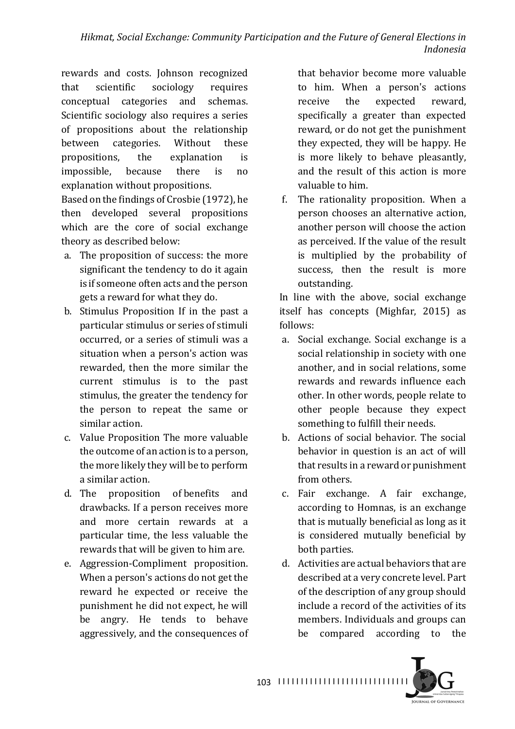rewards and costs. Johnson recognized that scientific sociology requires conceptual categories and schemas. Scientific sociology also requires a series of propositions about the relationship between categories. Without these propositions, the explanation is impossible, because there is no explanation without propositions.

Based on the findings of Crosbie (1972), he then developed several propositions which are the core of social exchange theory as described below:

- a. The proposition of success: the more significant the tendency to do it again is if someone often acts and the person gets a reward for what they do.
- b. Stimulus Proposition If in the past a particular stimulus or series of stimuli occurred, or a series of stimuli was a situation when a person's action was rewarded, then the more similar the current stimulus is to the past stimulus, the greater the tendency for the person to repeat the same or similar action.
- c. Value Proposition The more valuable the outcome of an action is to a person, the more likely they will be to perform a similar action.
- d. The proposition of benefits and drawbacks. If a person receives more and more certain rewards at a particular time, the less valuable the rewards that will be given to him are.
- e. Aggression-Compliment proposition. When a person's actions do not get the reward he expected or receive the punishment he did not expect, he will be angry. He tends to behave aggressively, and the consequences of

that behavior become more valuable to him. When a person's actions receive the expected reward, specifically a greater than expected reward, or do not get the punishment they expected, they will be happy. He is more likely to behave pleasantly. and the result of this action is more valuable to him.

f. The rationality proposition. When a person chooses an alternative action, another person will choose the action as perceived. If the value of the result is multiplied by the probability of success, then the result is more outstanding.

In line with the above, social exchange itself has concepts (Mighfar, 2015) as follows:

- a. Social exchange. Social exchange is a social relationship in society with one another, and in social relations, some rewards and rewards influence each other. In other words, people relate to other people because they expect something to fulfill their needs.
- b. Actions of social behavior. The social behavior in question is an act of will that results in a reward or punishment from others.
- c. Fair exchange. A fair exchange, according to Homnas, is an exchange that is mutually beneficial as long as it is considered mutually beneficial by both parties.
- d. Activities are actual behaviors that are described at a very concrete level. Part of the description of any group should include a record of the activities of its members. Individuals and groups can be compared according to the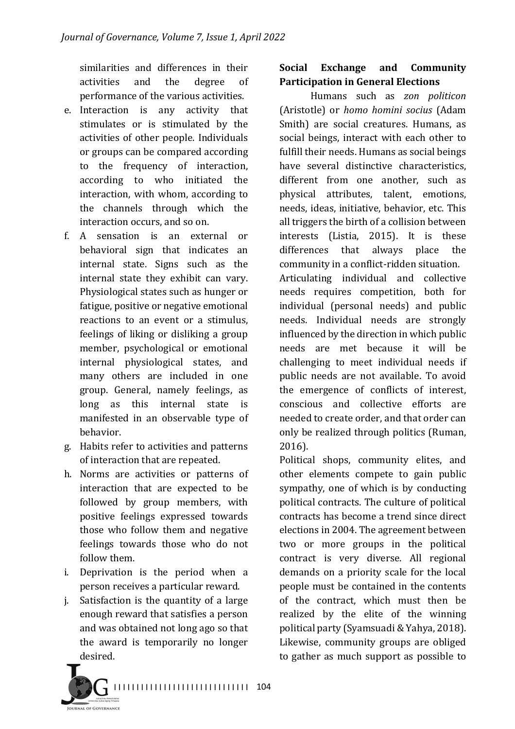similarities and differences in their activities and the degree of performance of the various activities.

- e. Interaction is any activity that stimulates or is stimulated by the activities of other people. Individuals or groups can be compared according to the frequency of interaction, according to who initiated the interaction, with whom, according to the channels through which the interaction occurs, and so on.
- f. A sensation is an external or behavioral sign that indicates an internal state. Signs such as the internal state they exhibit can vary. Physiological states such as hunger or fatigue, positive or negative emotional reactions to an event or a stimulus, feelings of liking or disliking a group member, psychological or emotional internal physiological states, and many others are included in one group. General, namely feelings, as long as this internal state is manifested in an observable type of behavior.
- g. Habits refer to activities and patterns of interaction that are repeated.
- h. Norms are activities or patterns of interaction that are expected to be followed by group members, with positive feelings expressed towards those who follow them and negative feelings towards those who do not follow them.
- i. Deprivation is the period when a person receives a particular reward.
- $i$ . Satisfaction is the quantity of a large enough reward that satisfies a person and was obtained not long ago so that the award is temporarily no longer desired.



# **Social Exchange and Community Participation in General Elections**

Humans such as *zon politicon* (Aristotle) or *homo homini socius* (Adam Smith) are social creatures. Humans, as social beings, interact with each other to fulfill their needs. Humans as social beings have several distinctive characteristics, different from one another, such as physical attributes, talent, emotions, needs, ideas, initiative, behavior, etc. This all triggers the birth of a collision between interests (Listia, 2015). It is these differences that always place the community in a conflict-ridden situation. Articulating individual and collective needs requires competition, both for individual (personal needs) and public needs. Individual needs are strongly influenced by the direction in which public needs are met because it will be challenging to meet individual needs if public needs are not available. To avoid the emergence of conflicts of interest, conscious and collective efforts are needed to create order, and that order can only be realized through politics (Ruman, 2016).

Political shops, community elites, and other elements compete to gain public sympathy, one of which is by conducting political contracts. The culture of political contracts has become a trend since direct elections in 2004. The agreement between two or more groups in the political contract is very diverse. All regional demands on a priority scale for the local people must be contained in the contents of the contract, which must then be realized by the elite of the winning political party (Syamsuadi & Yahya, 2018). Likewise, community groups are obliged to gather as much support as possible to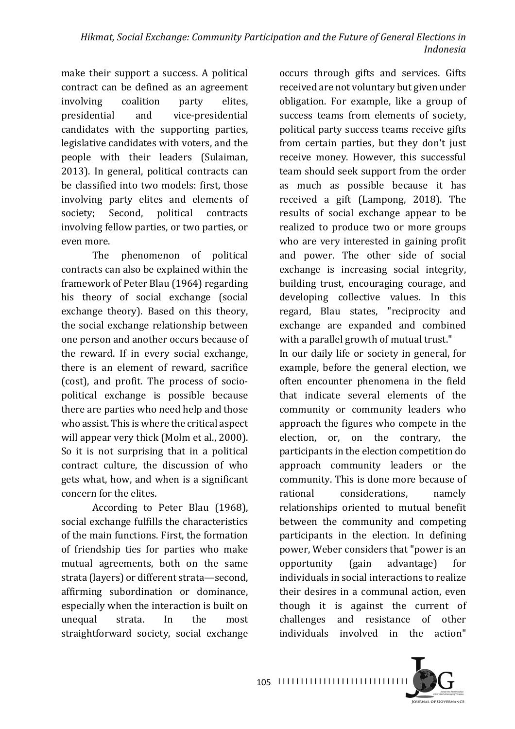make their support a success. A political contract can be defined as an agreement involving coalition party elites, presidential and vice-presidential candidates with the supporting parties, legislative candidates with voters, and the people with their leaders (Sulaiman, 2013). In general, political contracts can be classified into two models: first, those involving party elites and elements of society; Second, political contracts involving fellow parties, or two parties, or even more.

The phenomenon of political contracts can also be explained within the framework of Peter Blau (1964) regarding his theory of social exchange (social exchange theory). Based on this theory, the social exchange relationship between one person and another occurs because of the reward. If in every social exchange, there is an element of reward, sacrifice (cost), and profit. The process of sociopolitical exchange is possible because there are parties who need help and those who assist. This is where the critical aspect will appear very thick (Molm et al., 2000). So it is not surprising that in a political contract culture, the discussion of who gets what, how, and when is a significant concern for the elites.

According to Peter Blau (1968), social exchange fulfills the characteristics of the main functions. First, the formation of friendship ties for parties who make mutual agreements, both on the same strata (layers) or different strata-second, affirming subordination or dominance, especially when the interaction is built on unequal strata. In the most straightforward society, social exchange

occurs through gifts and services. Gifts received are not voluntary but given under obligation. For example, like a group of success teams from elements of society, political party success teams receive gifts from certain parties, but they don't just receive money. However, this successful team should seek support from the order as much as possible because it has received a gift (Lampong, 2018). The results of social exchange appear to be realized to produce two or more groups who are very interested in gaining profit and power. The other side of social exchange is increasing social integrity, building trust, encouraging courage, and developing collective values. In this regard, Blau states, "reciprocity and exchange are expanded and combined with a parallel growth of mutual trust."

In our daily life or society in general, for example, before the general election, we often encounter phenomena in the field that indicate several elements of the community or community leaders who approach the figures who compete in the election, or, on the contrary, the participants in the election competition do approach community leaders or the community. This is done more because of rational considerations, namely relationships oriented to mutual benefit between the community and competing participants in the election. In defining power, Weber considers that "power is an opportunity (gain advantage) for individuals in social interactions to realize their desires in a communal action, even though it is against the current of challenges and resistance of other individuals involved in the action"

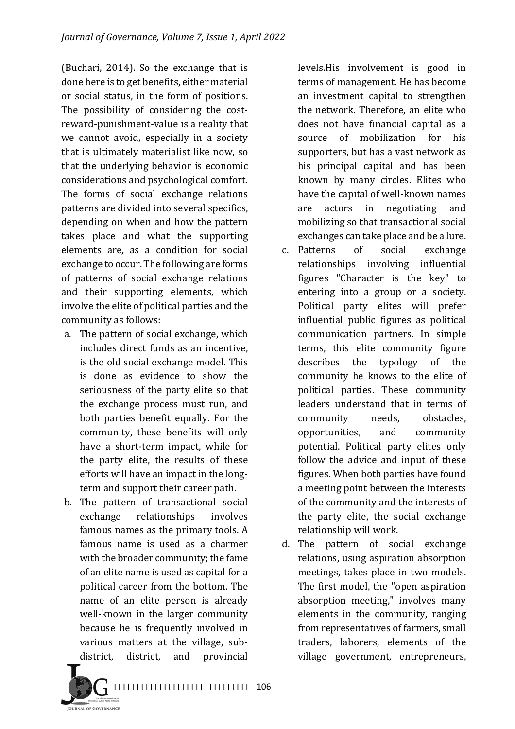(Buchari,  $2014$ ). So the exchange that is done here is to get benefits, either material or social status, in the form of positions. The possibility of considering the costreward-punishment-value is a reality that we cannot avoid, especially in a society that is ultimately materialist like now, so that the underlying behavior is economic considerations and psychological comfort. The forms of social exchange relations patterns are divided into several specifics, depending on when and how the pattern takes place and what the supporting elements are, as a condition for social exchange to occur. The following are forms of patterns of social exchange relations and their supporting elements, which involve the elite of political parties and the community as follows:

- a. The pattern of social exchange, which includes direct funds as an incentive. is the old social exchange model. This is done as evidence to show the seriousness of the party elite so that the exchange process must run, and both parties benefit equally. For the community, these benefits will only have a short-term impact, while for the party elite, the results of these efforts will have an impact in the longterm and support their career path.
- b. The pattern of transactional social exchange relationships involves famous names as the primary tools. A famous name is used as a charmer with the broader community; the fame of an elite name is used as capital for a political career from the bottom. The name of an elite person is already well-known in the larger community because he is frequently involved in various matters at the village, subdistrict, district, and provincial

...<br>val of Governanci

levels. His involvement is good in terms of management. He has become an investment capital to strengthen the network. Therefore, an elite who does not have financial capital as a source of mobilization for his supporters, but has a vast network as his principal capital and has been known by many circles. Elites who have the capital of well-known names are actors in negotiating and mobilizing so that transactional social exchanges can take place and be a lure.

- c. Patterns of social exchange relationships involving influential figures "Character is the key" to entering into a group or a society. Political party elites will prefer influential public figures as political communication partners. In simple terms, this elite community figure describes the typology of the community he knows to the elite of political parties. These community leaders understand that in terms of community needs, obstacles, opportunities, and community potential. Political party elites only follow the advice and input of these figures. When both parties have found a meeting point between the interests of the community and the interests of the party elite, the social exchange relationship will work.
- d. The pattern of social exchange relations, using aspiration absorption meetings, takes place in two models. The first model, the "open aspiration absorption meeting," involves many elements in the community, ranging from representatives of farmers, small traders, laborers, elements of the village government, entrepreneurs,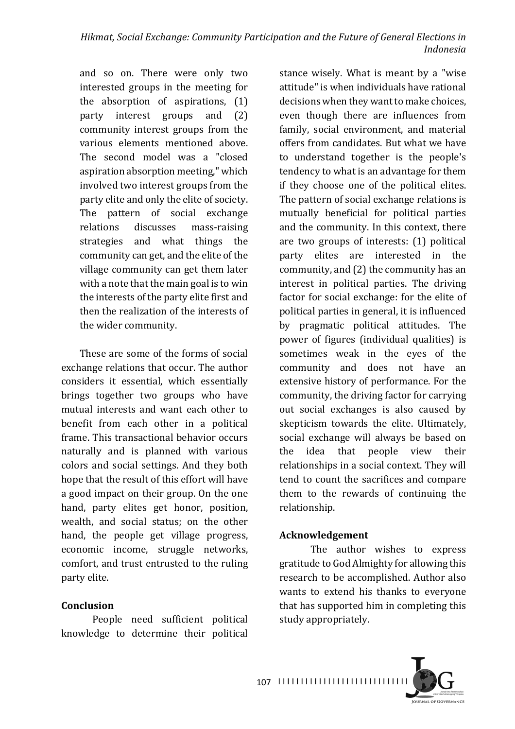and so on. There were only two interested groups in the meeting for the absorption of aspirations,  $(1)$ party interest groups and (2) community interest groups from the various elements mentioned above. The second model was a "closed aspiration absorption meeting," which involved two interest groups from the party elite and only the elite of society. The pattern of social exchange relations discusses mass-raising strategies and what things the community can get, and the elite of the village community can get them later with a note that the main goal is to win the interests of the party elite first and then the realization of the interests of the wider community.

These are some of the forms of social exchange relations that occur. The author considers it essential, which essentially brings together two groups who have mutual interests and want each other to benefit from each other in a political frame. This transactional behavior occurs naturally and is planned with various colors and social settings. And they both hope that the result of this effort will have a good impact on their group. On the one hand, party elites get honor, position, wealth, and social status; on the other hand, the people get village progress, economic income, struggle networks, comfort, and trust entrusted to the ruling party elite.

## **Conclusion**

People need sufficient political knowledge to determine their political stance wisely. What is meant by a "wise attitude" is when individuals have rational decisions when they want to make choices. even though there are influences from family, social environment, and material offers from candidates. But what we have to understand together is the people's tendency to what is an advantage for them if they choose one of the political elites. The pattern of social exchange relations is mutually beneficial for political parties and the community. In this context, there are two groups of interests:  $(1)$  political party elites are interested in the community, and  $(2)$  the community has an interest in political parties. The driving factor for social exchange: for the elite of political parties in general, it is influenced by pragmatic political attitudes. The power of figures (individual qualities) is sometimes weak in the eyes of the community and does not have an extensive history of performance. For the community, the driving factor for carrying out social exchanges is also caused by skepticism towards the elite. Ultimately, social exchange will always be based on the idea that people view their relationships in a social context. They will tend to count the sacrifices and compare them to the rewards of continuing the relationship.

## **Acknowledgement**

The author wishes to express gratitude to God Almighty for allowing this research to be accomplished. Author also wants to extend his thanks to everyone that has supported him in completing this study appropriately.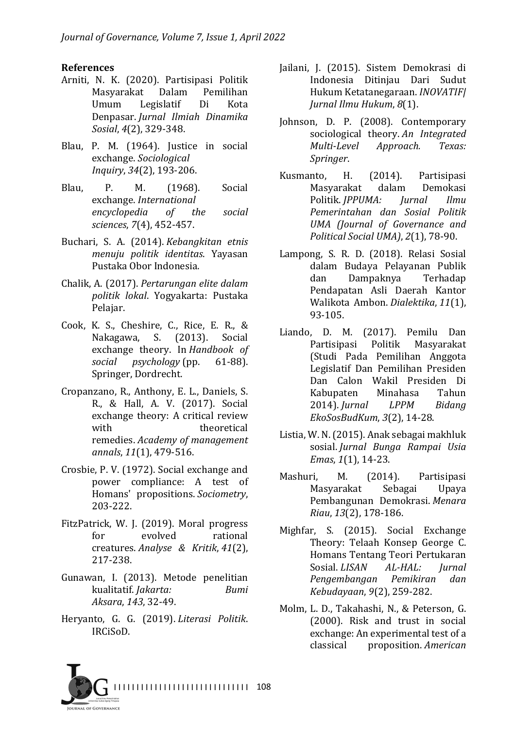#### **References**

- Arniti, N. K. (2020). Partisipasi Politik Masyarakat Dalam Pemilihan Umum Legislatif Di Kota Denpasar. *Jurnal Ilmiah Dinamika Sosial*, *4*(2), 329-348.
- Blau, P. M. (1964). Justice in social exchange. *Sociological Inquiry*, *34*(2), 193-206.
- Blau, P. M. (1968). Social exchange. *International encyclopedia of the social sciences*, *7*(4), 452-457.
- Buchari, S. A. (2014). *Kebangkitan etnis menuju politik identitas*. Yayasan Pustaka Obor Indonesia.
- Chalik, A. (2017). *Pertarungan elite dalam politik lokal*. Yogyakarta: Pustaka Pelajar.
- Cook, K. S., Cheshire, C., Rice, E. R., & Nakagawa, S. (2013). Social exchange theory. In *Handbook of social psychology* (pp. 61-88). Springer, Dordrecht.
- Cropanzano, R., Anthony, E. L., Daniels, S. R., & Hall, A. V. (2017). Social exchange theory: A critical review with theoretical remedies. *Academy of management annals*, *11*(1), 479-516.
- Crosbie, P. V. (1972). Social exchange and power compliance: A test of Homans' propositions. *Sociometry*, 203-222.
- FitzPatrick, W. J. (2019). Moral progress for evolved rational creatures. *Analyse & Kritik*, *41*(2), 217-238.
- Gunawan, I. (2013). Metode penelitian kualitatif. *Jakarta: Bumi Aksara*, *143*, 32-49.
- Heryanto, G. G. (2019). *Literasi Politik*. IRCiSoD.
- Jailani, J. (2015). Sistem Demokrasi di Indonesia Ditinjau Dari Sudut Hukum Ketatanegaraan. *INOVATIF| Jurnal Ilmu Hukum*, *8*(1).
- Johnson, D. P. (2008). Contemporary sociological theory. An Integrated *Multi-Level Approach. Texas: Springer*.
- Kusmanto, H. (2014). Partisipasi Masyarakat dalam Demokasi Politik. *JPPUMA: Jurnal Ilmu Pemerintahan dan Sosial Politik UMA (Journal of Governance and Political Social UMA*), *2*(1), 78-90.
- Lampong, S. R. D. (2018). Relasi Sosial dalam Budaya Pelayanan Publik dan Dampaknya Terhadap Pendapatan Asli Daerah Kantor Walikota Ambon. *Dialektika*, *11*(1), 93-105.
- Liando, D. M. (2017). Pemilu Dan Partisipasi Politik Masyarakat (Studi Pada Pemilihan Anggota Legislatif Dan Pemilihan Presiden Dan Calon Wakil Presiden Di Kabupaten Minahasa Tahun 2014). *Jurnal LPPM Bidang EkoSosBudKum*, *3*(2), 14-28.
- Listia, W. N. (2015). Anak sebagai makhluk sosial. *Jurnal Bunga Rampai Usia Emas*, *1*(1), 14-23.
- Mashuri, M. (2014). Partisipasi Masyarakat Sebagai Upaya Pembangunan Demokrasi. *Menara Riau*, *13*(2), 178-186.
- Mighfar, S. (2015). Social Exchange Theory: Telaah Konsep George C. Homans Tentang Teori Pertukaran Sosial. *LISAN* AL-HAL: *Jurnal Pengembangan Pemikiran dan Kebudayaan*, *9*(2), 259-282.
- Molm, L. D., Takahashi, N., & Peterson, G. (2000). Risk and trust in social exchange: An experimental test of a classical proposition. *American*